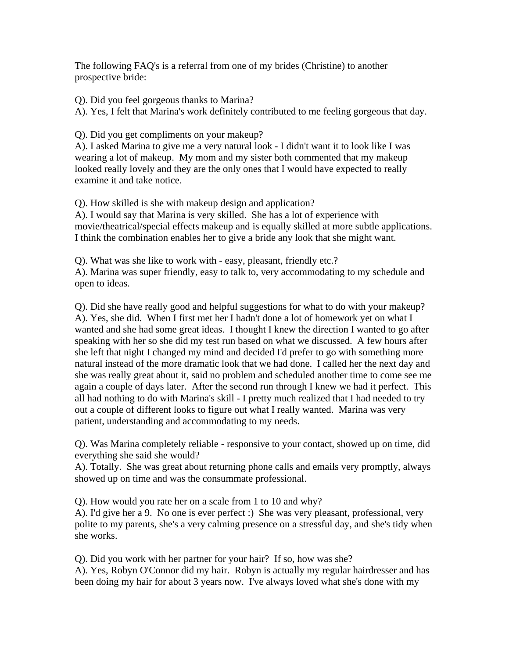The following FAQ's is a referral from one of my brides (Christine) to another prospective bride:

Q). Did you feel gorgeous thanks to Marina?

A). Yes, I felt that Marina's work definitely contributed to me feeling gorgeous that day.

Q). Did you get compliments on your makeup?

A). I asked Marina to give me a very natural look - I didn't want it to look like I was wearing a lot of makeup. My mom and my sister both commented that my makeup looked really lovely and they are the only ones that I would have expected to really examine it and take notice.

Q). How skilled is she with makeup design and application?

A). I would say that Marina is very skilled. She has a lot of experience with movie/theatrical/special effects makeup and is equally skilled at more subtle applications. I think the combination enables her to give a bride any look that she might want.

Q). What was she like to work with - easy, pleasant, friendly etc.? A). Marina was super friendly, easy to talk to, very accommodating to my schedule and open to ideas.

Q). Did she have really good and helpful suggestions for what to do with your makeup? A). Yes, she did. When I first met her I hadn't done a lot of homework yet on what I wanted and she had some great ideas. I thought I knew the direction I wanted to go after speaking with her so she did my test run based on what we discussed. A few hours after she left that night I changed my mind and decided I'd prefer to go with something more natural instead of the more dramatic look that we had done. I called her the next day and she was really great about it, said no problem and scheduled another time to come see me again a couple of days later. After the second run through I knew we had it perfect. This all had nothing to do with Marina's skill - I pretty much realized that I had needed to try out a couple of different looks to figure out what I really wanted. Marina was very patient, understanding and accommodating to my needs.

Q). Was Marina completely reliable - responsive to your contact, showed up on time, did everything she said she would?

A). Totally. She was great about returning phone calls and emails very promptly, always showed up on time and was the consummate professional.

Q). How would you rate her on a scale from 1 to 10 and why?

A). I'd give her a 9. No one is ever perfect :) She was very pleasant, professional, very polite to my parents, she's a very calming presence on a stressful day, and she's tidy when she works.

Q). Did you work with her partner for your hair? If so, how was she? A). Yes, Robyn O'Connor did my hair. Robyn is actually my regular hairdresser and has

been doing my hair for about 3 years now. I've always loved what she's done with my